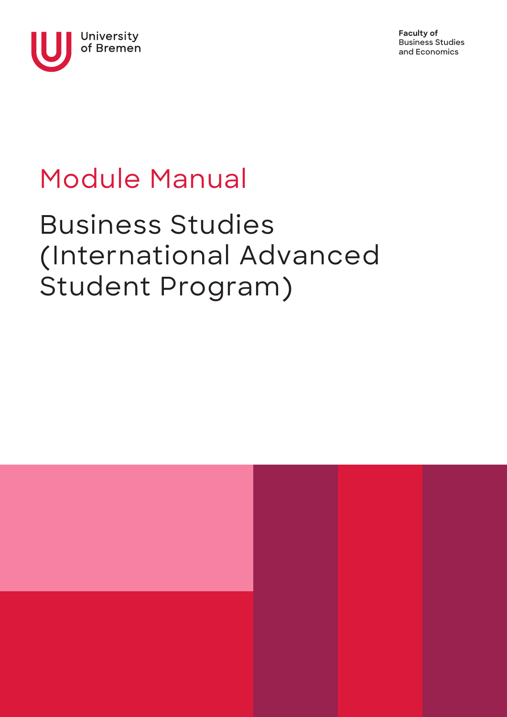

**Faculty of Business Studies and Economics**

# Module Manual

## Business Studies (International Advanced Student Program)

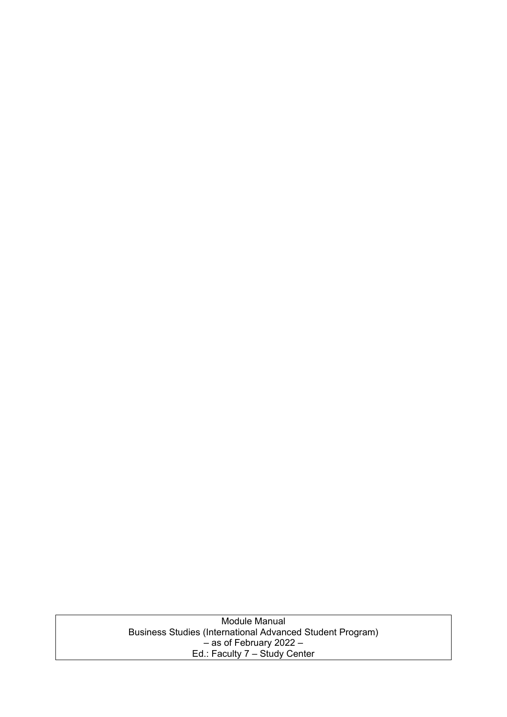Module Manual Business Studies (International Advanced Student Program) – as of February 2022 – Ed.: Faculty 7 – Study Center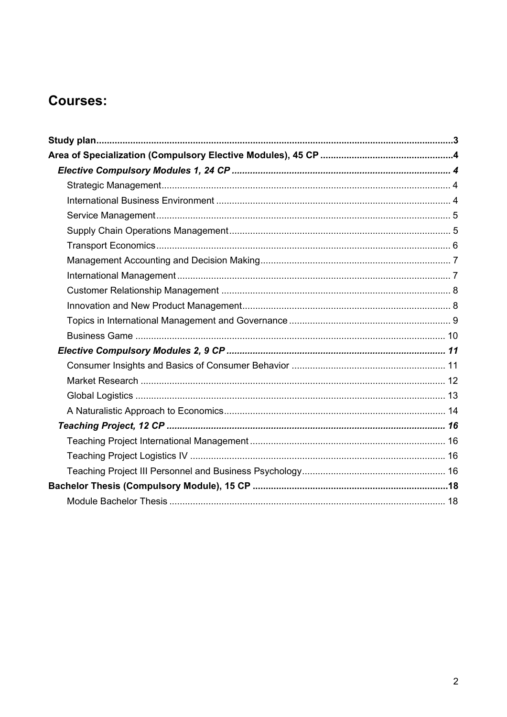### **Courses:**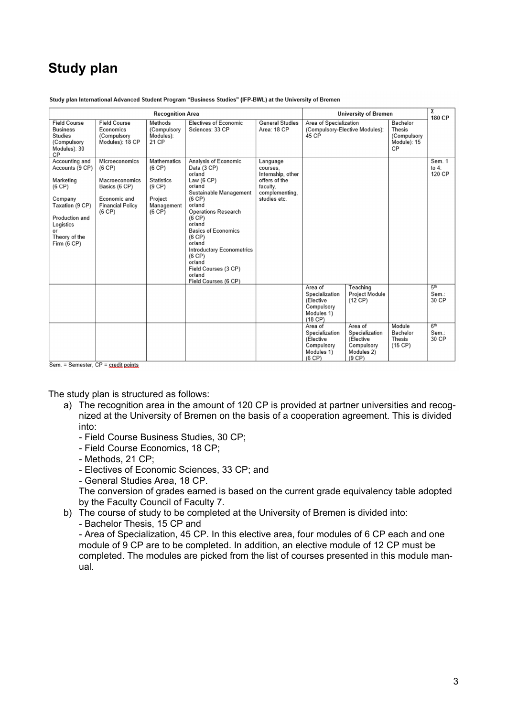### **Study plan**

| <b>Recognition Area</b>                                                                                                                                     |                                                                                                                  |                                                                                                |                                                                                                                                                                                                                                                                                                                                             | <b>University of Bremen</b>                                                                              |                                                                                 | Σ<br><b>180 CP</b>                                                           |                                                               |                                   |
|-------------------------------------------------------------------------------------------------------------------------------------------------------------|------------------------------------------------------------------------------------------------------------------|------------------------------------------------------------------------------------------------|---------------------------------------------------------------------------------------------------------------------------------------------------------------------------------------------------------------------------------------------------------------------------------------------------------------------------------------------|----------------------------------------------------------------------------------------------------------|---------------------------------------------------------------------------------|------------------------------------------------------------------------------|---------------------------------------------------------------|-----------------------------------|
| <b>Field Course</b><br><b>Business</b><br><b>Studies</b><br>(Compulsory<br>Modules): 30<br>СP                                                               | <b>Field Course</b><br>Economics<br>(Compulsory<br>Modules): 18 CP                                               | Methods<br>(Compulsory<br>Modules):<br>21 CP                                                   | <b>Electives of Economic</b><br>Sciences: 33 CP                                                                                                                                                                                                                                                                                             | <b>General Studies</b><br>Area: 18 CP                                                                    | Area of Specialization<br>(Compulsory-Elective Modules):<br>45 CP               |                                                                              | Bachelor<br><b>Thesis</b><br>(Compulsory<br>Module): 15<br>CP |                                   |
| Accounting and<br>Accounts (9 CP)<br>Marketing<br>(6 CP)<br>Company<br>Taxation (9 CP)<br>Production and<br>Logistics<br>or<br>Theory of the<br>Firm (6 CP) | Microeconomics<br>(6 CP)<br>Macroeconomics<br>Basics (6 CP)<br>Economic and<br><b>Financial Policy</b><br>(6 CP) | <b>Mathematics</b><br>(6 CP)<br><b>Statistics</b><br>(9 CP)<br>Project<br>Management<br>(6 CP) | Analysis of Economic<br>Data (3 CP)<br>or/and<br>Law $(6 CP)$<br>or/and<br>Sustainable Management<br>(6 CP)<br>or/and<br><b>Operations Research</b><br>(6 CP)<br>or/and<br><b>Basics of Economics</b><br>(6 CP)<br>or/and<br><b>Introductory Econometrics</b><br>(6 CP)<br>or/and<br>Field Courses (3 CP)<br>or/and<br>Field Courses (6 CP) | Language<br>courses.<br>Internship, other<br>offers of the<br>faculty,<br>complementing,<br>studies etc. |                                                                                 |                                                                              |                                                               | Sem. 1<br>to $4$ :<br>120 CP      |
|                                                                                                                                                             |                                                                                                                  |                                                                                                |                                                                                                                                                                                                                                                                                                                                             |                                                                                                          | Area of<br>Specialization<br>(Elective<br>Compulsory<br>Modules 1)<br>$(18$ CP) | Teaching<br><b>Project Module</b><br>$(12$ CP)                               |                                                               | 5 <sup>th</sup><br>Sem.:<br>30 CP |
|                                                                                                                                                             |                                                                                                                  |                                                                                                |                                                                                                                                                                                                                                                                                                                                             |                                                                                                          | Area of<br>Specialization<br>(Elective<br>Compulsory<br>Modules 1)<br>(6 CP)    | Area of<br>Specialization<br>(Elective<br>Compulsory<br>Modules 2)<br>(9 CP) | Module<br>Bachelor<br><b>Thesis</b><br>(15 CP)                | 6 <sup>th</sup><br>Sem.:<br>30 CP |

Study plan International Advanced Student Program "Business Studies" (IFP-BWL) at the University of Bremen

Sem. = Semester, CP = credit points.

The study plan is structured as follows:

- a) The recognition area in the amount of 120 CP is provided at partner universities and recognized at the University of Bremen on the basis of a cooperation agreement. This is divided into:
	- Field Course Business Studies, 30 CP;
	- Field Course Economics, 18 CP;
	- Methods, 21 CP;
	- Electives of Economic Sciences, 33 CP; and
	- General Studies Area, 18 CP.

The conversion of grades earned is based on the current grade equivalency table adopted by the Faculty Council of Faculty 7.

b) The course of study to be completed at the University of Bremen is divided into: - Bachelor Thesis, 15 CP and

- Area of Specialization, 45 CP. In this elective area, four modules of 6 CP each and one module of 9 CP are to be completed. In addition, an elective module of 12 CP must be completed. The modules are picked from the list of courses presented in this module manual.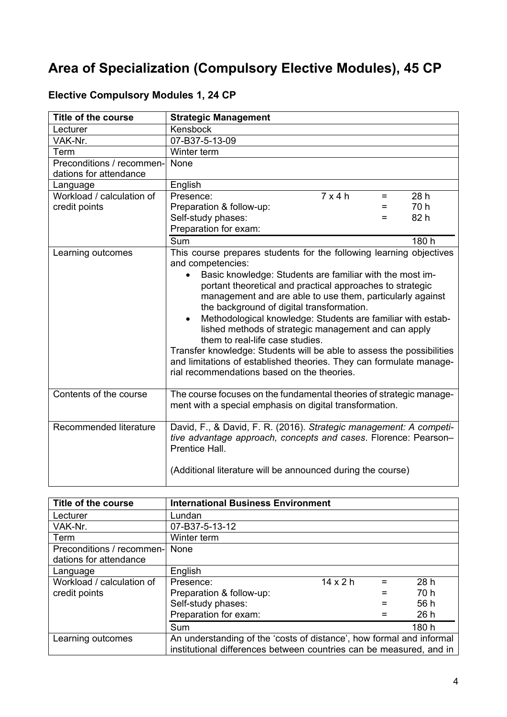## **Area of Specialization (Compulsory Elective Modules), 45 CP**

| <b>Title of the course</b> | <b>Strategic Management</b>                                                                                                                                                                                                                                                                                                                                                                                                                                                                                                                                                                                                                                                                       |  |
|----------------------------|---------------------------------------------------------------------------------------------------------------------------------------------------------------------------------------------------------------------------------------------------------------------------------------------------------------------------------------------------------------------------------------------------------------------------------------------------------------------------------------------------------------------------------------------------------------------------------------------------------------------------------------------------------------------------------------------------|--|
| Lecturer                   | Kensbock                                                                                                                                                                                                                                                                                                                                                                                                                                                                                                                                                                                                                                                                                          |  |
| VAK-Nr.                    | 07-B37-5-13-09                                                                                                                                                                                                                                                                                                                                                                                                                                                                                                                                                                                                                                                                                    |  |
| Term                       | Winter term                                                                                                                                                                                                                                                                                                                                                                                                                                                                                                                                                                                                                                                                                       |  |
| Preconditions / recommen-  | None                                                                                                                                                                                                                                                                                                                                                                                                                                                                                                                                                                                                                                                                                              |  |
| dations for attendance     |                                                                                                                                                                                                                                                                                                                                                                                                                                                                                                                                                                                                                                                                                                   |  |
| Language                   | English                                                                                                                                                                                                                                                                                                                                                                                                                                                                                                                                                                                                                                                                                           |  |
| Workload / calculation of  | $7 \times \overline{4 \text{ h}}$<br>28 h<br>Presence:<br>$=$                                                                                                                                                                                                                                                                                                                                                                                                                                                                                                                                                                                                                                     |  |
| credit points              | 70 h<br>Preparation & follow-up:<br>$=$                                                                                                                                                                                                                                                                                                                                                                                                                                                                                                                                                                                                                                                           |  |
|                            | 82 h<br>Self-study phases:<br>=                                                                                                                                                                                                                                                                                                                                                                                                                                                                                                                                                                                                                                                                   |  |
|                            | Preparation for exam:                                                                                                                                                                                                                                                                                                                                                                                                                                                                                                                                                                                                                                                                             |  |
|                            | Sum<br>180 h                                                                                                                                                                                                                                                                                                                                                                                                                                                                                                                                                                                                                                                                                      |  |
| Learning outcomes          | This course prepares students for the following learning objectives<br>and competencies:<br>Basic knowledge: Students are familiar with the most im-<br>portant theoretical and practical approaches to strategic<br>management and are able to use them, particularly against<br>the background of digital transformation.<br>Methodological knowledge: Students are familiar with estab-<br>$\bullet$<br>lished methods of strategic management and can apply<br>them to real-life case studies.<br>Transfer knowledge: Students will be able to assess the possibilities<br>and limitations of established theories. They can formulate manage-<br>rial recommendations based on the theories. |  |
| Contents of the course     | The course focuses on the fundamental theories of strategic manage-<br>ment with a special emphasis on digital transformation.                                                                                                                                                                                                                                                                                                                                                                                                                                                                                                                                                                    |  |
| Recommended literature     | David, F., & David, F. R. (2016). Strategic management: A competi-<br>tive advantage approach, concepts and cases. Florence: Pearson-<br>Prentice Hall.                                                                                                                                                                                                                                                                                                                                                                                                                                                                                                                                           |  |
|                            | (Additional literature will be announced during the course)                                                                                                                                                                                                                                                                                                                                                                                                                                                                                                                                                                                                                                       |  |

#### **Elective Compulsory Modules 1, 24 CP**

| Title of the course       | <b>International Business Environment</b>                                                                                                   |                 |     |       |
|---------------------------|---------------------------------------------------------------------------------------------------------------------------------------------|-----------------|-----|-------|
| Lecturer                  | Lundan                                                                                                                                      |                 |     |       |
| VAK-Nr.                   | 07-B37-5-13-12                                                                                                                              |                 |     |       |
| Term                      | Winter term                                                                                                                                 |                 |     |       |
| Preconditions / recommen- | None                                                                                                                                        |                 |     |       |
| dations for attendance    |                                                                                                                                             |                 |     |       |
| Language                  | English                                                                                                                                     |                 |     |       |
| Workload / calculation of | Presence:                                                                                                                                   | $14 \times 2 h$ | $=$ | 28h   |
| credit points             | Preparation & follow-up:                                                                                                                    |                 |     | 70 h  |
|                           | Self-study phases:                                                                                                                          |                 |     | 56 h  |
|                           | Preparation for exam:                                                                                                                       |                 |     | 26h   |
|                           | Sum                                                                                                                                         |                 |     | 180 h |
| Learning outcomes         | An understanding of the 'costs of distance', how formal and informal<br>institutional differences between countries can be measured, and in |                 |     |       |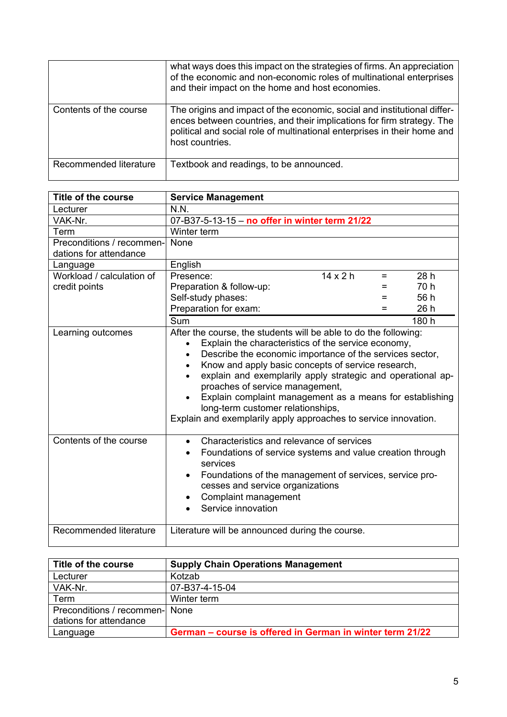|                        | what ways does this impact on the strategies of firms. An appreciation<br>of the economic and non-economic roles of multinational enterprises<br>and their impact on the home and host economies.                                                 |
|------------------------|---------------------------------------------------------------------------------------------------------------------------------------------------------------------------------------------------------------------------------------------------|
| Contents of the course | The origins and impact of the economic, social and institutional differ-<br>ences between countries, and their implications for firm strategy. The<br>political and social role of multinational enterprises in their home and<br>host countries. |
| Recommended literature | Textbook and readings, to be announced.                                                                                                                                                                                                           |

| <b>Title of the course</b> | <b>Service Management</b>                                                                                                                                                                                                                                                                                                                                                                                                                                                                                                                 |  |
|----------------------------|-------------------------------------------------------------------------------------------------------------------------------------------------------------------------------------------------------------------------------------------------------------------------------------------------------------------------------------------------------------------------------------------------------------------------------------------------------------------------------------------------------------------------------------------|--|
| Lecturer                   | N.N.                                                                                                                                                                                                                                                                                                                                                                                                                                                                                                                                      |  |
| VAK-Nr.                    | 07-B37-5-13-15 - no offer in winter term 21/22                                                                                                                                                                                                                                                                                                                                                                                                                                                                                            |  |
| Term                       | Winter term                                                                                                                                                                                                                                                                                                                                                                                                                                                                                                                               |  |
| Preconditions / recommen-  | None                                                                                                                                                                                                                                                                                                                                                                                                                                                                                                                                      |  |
| dations for attendance     |                                                                                                                                                                                                                                                                                                                                                                                                                                                                                                                                           |  |
| Language                   | English                                                                                                                                                                                                                                                                                                                                                                                                                                                                                                                                   |  |
| Workload / calculation of  | $14 \times 2 h$<br>28h<br>Presence:<br>$=$                                                                                                                                                                                                                                                                                                                                                                                                                                                                                                |  |
| credit points              | 70 h<br>Preparation & follow-up:<br>=                                                                                                                                                                                                                                                                                                                                                                                                                                                                                                     |  |
|                            | 56 h<br>Self-study phases:<br>$=$                                                                                                                                                                                                                                                                                                                                                                                                                                                                                                         |  |
|                            | Preparation for exam:<br>26 h<br>=                                                                                                                                                                                                                                                                                                                                                                                                                                                                                                        |  |
|                            | <b>Sum</b><br>180 h                                                                                                                                                                                                                                                                                                                                                                                                                                                                                                                       |  |
| Learning outcomes          | After the course, the students will be able to do the following:<br>Explain the characteristics of the service economy,<br>$\bullet$<br>Describe the economic importance of the services sector,<br>$\bullet$<br>Know and apply basic concepts of service research,<br>explain and exemplarily apply strategic and operational ap-<br>proaches of service management,<br>Explain complaint management as a means for establishing<br>long-term customer relationships,<br>Explain and exemplarily apply approaches to service innovation. |  |
| Contents of the course     | Characteristics and relevance of services<br>$\bullet$<br>Foundations of service systems and value creation through<br>services<br>Foundations of the management of services, service pro-<br>cesses and service organizations<br>Complaint management<br>Service innovation                                                                                                                                                                                                                                                              |  |
| Recommended literature     | Literature will be announced during the course.                                                                                                                                                                                                                                                                                                                                                                                                                                                                                           |  |

| Title of the course            | <b>Supply Chain Operations Management</b>                 |
|--------------------------------|-----------------------------------------------------------|
| Lecturer                       | Kotzab                                                    |
| VAK-Nr.                        | 07-B37-4-15-04                                            |
| Term                           | Winter term                                               |
| Preconditions / recommen- None |                                                           |
| dations for attendance         |                                                           |
| Language                       | German – course is offered in German in winter term 21/22 |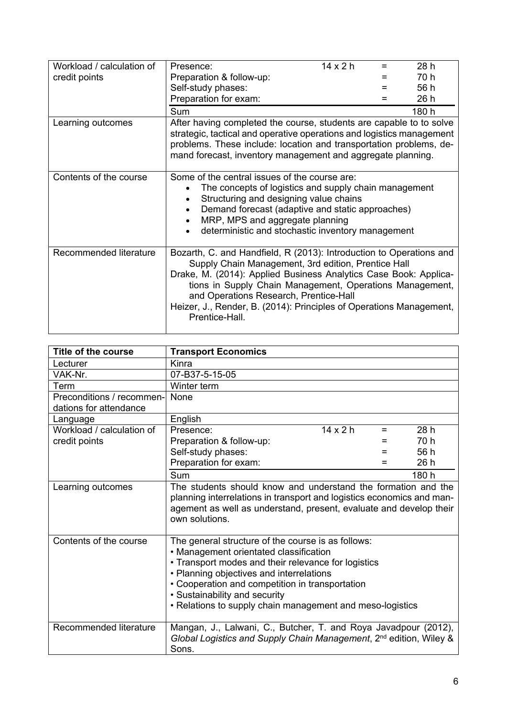| Workload / calculation of | Presence:                                                                                                                                                                                                                                                                                                                                                                                     | $14 \times 2 h$ | 28 h  |
|---------------------------|-----------------------------------------------------------------------------------------------------------------------------------------------------------------------------------------------------------------------------------------------------------------------------------------------------------------------------------------------------------------------------------------------|-----------------|-------|
| credit points             | Preparation & follow-up:                                                                                                                                                                                                                                                                                                                                                                      |                 | 70 h  |
|                           | Self-study phases:                                                                                                                                                                                                                                                                                                                                                                            |                 | 56 h  |
|                           | Preparation for exam:                                                                                                                                                                                                                                                                                                                                                                         |                 | 26 h  |
|                           | Sum                                                                                                                                                                                                                                                                                                                                                                                           |                 | 180 h |
| Learning outcomes         | After having completed the course, students are capable to to solve<br>strategic, tactical and operative operations and logistics management<br>problems. These include: location and transportation problems, de-<br>mand forecast, inventory management and aggregate planning.                                                                                                             |                 |       |
| Contents of the course    | Some of the central issues of the course are:<br>The concepts of logistics and supply chain management<br>Structuring and designing value chains<br>$\bullet$<br>Demand forecast (adaptive and static approaches)<br>MRP, MPS and aggregate planning<br>deterministic and stochastic inventory management                                                                                     |                 |       |
| Recommended literature    | Bozarth, C. and Handfield, R (2013): Introduction to Operations and<br>Supply Chain Management, 3rd edition, Prentice Hall<br>Drake, M. (2014): Applied Business Analytics Case Book: Applica-<br>tions in Supply Chain Management, Operations Management,<br>and Operations Research, Prentice-Hall<br>Heizer, J., Render, B. (2014): Principles of Operations Management,<br>Prentice-Hall. |                 |       |

| Title of the course       | <b>Transport Economics</b>                                                                                                                                                                                                                                                                                                                       |       |
|---------------------------|--------------------------------------------------------------------------------------------------------------------------------------------------------------------------------------------------------------------------------------------------------------------------------------------------------------------------------------------------|-------|
| Lecturer                  | Kinra                                                                                                                                                                                                                                                                                                                                            |       |
| VAK-Nr.                   | 07-B37-5-15-05                                                                                                                                                                                                                                                                                                                                   |       |
| Term                      | Winter term                                                                                                                                                                                                                                                                                                                                      |       |
| Preconditions / recommen- | None                                                                                                                                                                                                                                                                                                                                             |       |
| dations for attendance    |                                                                                                                                                                                                                                                                                                                                                  |       |
| Language                  | English                                                                                                                                                                                                                                                                                                                                          |       |
| Workload / calculation of | $14 \times 2 h$<br>Presence:<br>$=$                                                                                                                                                                                                                                                                                                              | 28h   |
| credit points             | Preparation & follow-up:                                                                                                                                                                                                                                                                                                                         | 70 h  |
|                           | Self-study phases:<br>=                                                                                                                                                                                                                                                                                                                          | 56 h  |
|                           | Preparation for exam:<br>=                                                                                                                                                                                                                                                                                                                       | 26h   |
|                           | Sum                                                                                                                                                                                                                                                                                                                                              | 180 h |
| Learning outcomes         | The students should know and understand the formation and the<br>planning interrelations in transport and logistics economics and man-<br>agement as well as understand, present, evaluate and develop their<br>own solutions.                                                                                                                   |       |
| Contents of the course    | The general structure of the course is as follows:<br>• Management orientated classification<br>• Transport modes and their relevance for logistics<br>• Planning objectives and interrelations<br>• Cooperation and competition in transportation<br>• Sustainability and security<br>• Relations to supply chain management and meso-logistics |       |
| Recommended literature    | Mangan, J., Lalwani, C., Butcher, T. and Roya Javadpour (2012),<br>Global Logistics and Supply Chain Management, 2 <sup>nd</sup> edition, Wiley &<br>Sons.                                                                                                                                                                                       |       |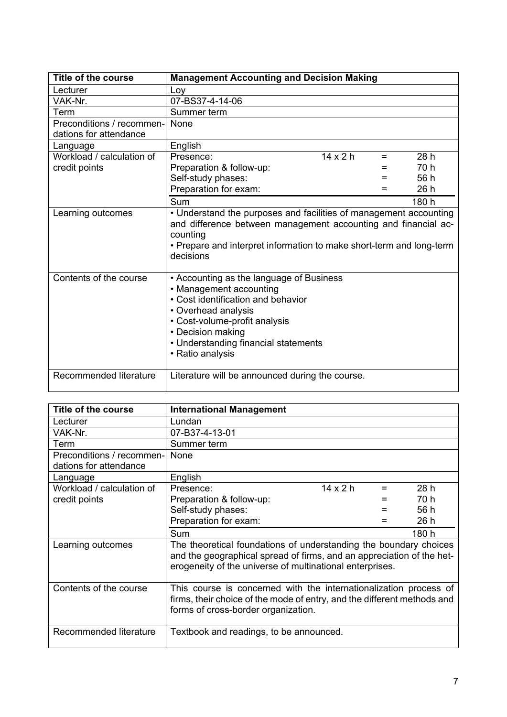| Title of the course       | <b>Management Accounting and Decision Making</b>                                                                                                                                                                                                   |                 |     |       |
|---------------------------|----------------------------------------------------------------------------------------------------------------------------------------------------------------------------------------------------------------------------------------------------|-----------------|-----|-------|
| Lecturer                  | Loy                                                                                                                                                                                                                                                |                 |     |       |
| VAK-Nr.                   | 07-BS37-4-14-06                                                                                                                                                                                                                                    |                 |     |       |
| Term                      | Summer term                                                                                                                                                                                                                                        |                 |     |       |
| Preconditions / recommen- | None                                                                                                                                                                                                                                               |                 |     |       |
| dations for attendance    |                                                                                                                                                                                                                                                    |                 |     |       |
| Language                  | English                                                                                                                                                                                                                                            |                 |     |       |
| Workload / calculation of | Presence:                                                                                                                                                                                                                                          | $14 \times 2 h$ | $=$ | 28h   |
| credit points             | Preparation & follow-up:                                                                                                                                                                                                                           |                 |     | 70 h  |
|                           | Self-study phases:                                                                                                                                                                                                                                 |                 | =   | 56 h  |
|                           | Preparation for exam:                                                                                                                                                                                                                              |                 |     | 26 h  |
|                           | Sum                                                                                                                                                                                                                                                |                 |     | 180 h |
| Learning outcomes         | • Understand the purposes and facilities of management accounting<br>and difference between management accounting and financial ac-<br>counting<br>• Prepare and interpret information to make short-term and long-term<br>decisions               |                 |     |       |
| Contents of the course    | • Accounting as the language of Business<br>• Management accounting<br>• Cost identification and behavior<br>• Overhead analysis<br>• Cost-volume-profit analysis<br>• Decision making<br>• Understanding financial statements<br>• Ratio analysis |                 |     |       |
| Recommended literature    | Literature will be announced during the course.                                                                                                                                                                                                    |                 |     |       |

| <b>Title of the course</b> | <b>International Management</b>                                                                                                                                                                        |                 |       |
|----------------------------|--------------------------------------------------------------------------------------------------------------------------------------------------------------------------------------------------------|-----------------|-------|
| Lecturer                   | Lundan                                                                                                                                                                                                 |                 |       |
| VAK-Nr.                    | 07-B37-4-13-01                                                                                                                                                                                         |                 |       |
| Term                       | Summer term                                                                                                                                                                                            |                 |       |
| Preconditions / recommen-  | None                                                                                                                                                                                                   |                 |       |
| dations for attendance     |                                                                                                                                                                                                        |                 |       |
| Language                   | English                                                                                                                                                                                                |                 |       |
| Workload / calculation of  | Presence:                                                                                                                                                                                              | $14 \times 2 h$ | 28h   |
| credit points              | Preparation & follow-up:                                                                                                                                                                               |                 | 70 h  |
|                            | Self-study phases:                                                                                                                                                                                     |                 | 56 h  |
|                            | Preparation for exam:                                                                                                                                                                                  |                 | 26 h  |
|                            | Sum                                                                                                                                                                                                    |                 | 180 h |
| Learning outcomes          | The theoretical foundations of understanding the boundary choices<br>and the geographical spread of firms, and an appreciation of the het-<br>erogeneity of the universe of multinational enterprises. |                 |       |
| Contents of the course     | This course is concerned with the internationalization process of<br>firms, their choice of the mode of entry, and the different methods and<br>forms of cross-border organization.                    |                 |       |
| Recommended literature     | Textbook and readings, to be announced.                                                                                                                                                                |                 |       |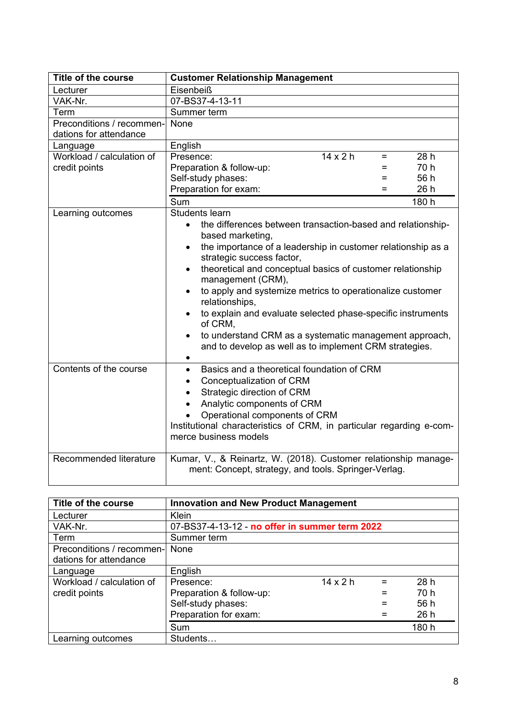| <b>Title of the course</b>                       | <b>Customer Relationship Management</b>                                                                                                                                                                                                                                                                                                                                                                                                                                                                                                                                             |  |
|--------------------------------------------------|-------------------------------------------------------------------------------------------------------------------------------------------------------------------------------------------------------------------------------------------------------------------------------------------------------------------------------------------------------------------------------------------------------------------------------------------------------------------------------------------------------------------------------------------------------------------------------------|--|
| Lecturer                                         | Eisenbeiß                                                                                                                                                                                                                                                                                                                                                                                                                                                                                                                                                                           |  |
| VAK-Nr.                                          | 07-BS37-4-13-11                                                                                                                                                                                                                                                                                                                                                                                                                                                                                                                                                                     |  |
| Term                                             | Summer term                                                                                                                                                                                                                                                                                                                                                                                                                                                                                                                                                                         |  |
| Preconditions / recommen-                        | None                                                                                                                                                                                                                                                                                                                                                                                                                                                                                                                                                                                |  |
| dations for attendance                           |                                                                                                                                                                                                                                                                                                                                                                                                                                                                                                                                                                                     |  |
| Language                                         | English                                                                                                                                                                                                                                                                                                                                                                                                                                                                                                                                                                             |  |
| Workload / calculation of                        | $14 \times 2 h$<br>Presence:<br>28h<br>$=$                                                                                                                                                                                                                                                                                                                                                                                                                                                                                                                                          |  |
| credit points                                    | 70 h<br>Preparation & follow-up:<br>Ξ                                                                                                                                                                                                                                                                                                                                                                                                                                                                                                                                               |  |
|                                                  | 56 h<br>Self-study phases:<br>Ξ                                                                                                                                                                                                                                                                                                                                                                                                                                                                                                                                                     |  |
|                                                  | Preparation for exam:<br>26h<br>$=$                                                                                                                                                                                                                                                                                                                                                                                                                                                                                                                                                 |  |
|                                                  | Sum<br>180 h                                                                                                                                                                                                                                                                                                                                                                                                                                                                                                                                                                        |  |
| Learning outcomes                                | Students learn                                                                                                                                                                                                                                                                                                                                                                                                                                                                                                                                                                      |  |
|                                                  | the differences between transaction-based and relationship-<br>$\bullet$<br>based marketing,<br>the importance of a leadership in customer relationship as a<br>$\bullet$<br>strategic success factor,<br>theoretical and conceptual basics of customer relationship<br>$\bullet$<br>management (CRM),<br>to apply and systemize metrics to operationalize customer<br>relationships,<br>to explain and evaluate selected phase-specific instruments<br>of CRM,<br>to understand CRM as a systematic management approach,<br>and to develop as well as to implement CRM strategies. |  |
| Contents of the course<br>Recommended literature | Basics and a theoretical foundation of CRM<br>$\bullet$<br>Conceptualization of CRM<br>$\bullet$<br>Strategic direction of CRM<br>$\bullet$<br>Analytic components of CRM<br>Operational components of CRM<br>Institutional characteristics of CRM, in particular regarding e-com-<br>merce business models                                                                                                                                                                                                                                                                         |  |
|                                                  | Kumar, V., & Reinartz, W. (2018). Customer relationship manage-<br>ment: Concept, strategy, and tools. Springer-Verlag.                                                                                                                                                                                                                                                                                                                                                                                                                                                             |  |

| Title of the course                                 | <b>Innovation and New Product Management</b>   |                 |     |       |
|-----------------------------------------------------|------------------------------------------------|-----------------|-----|-------|
| Lecturer                                            | <b>Klein</b>                                   |                 |     |       |
| VAK-Nr.                                             | 07-BS37-4-13-12 - no offer in summer term 2022 |                 |     |       |
| Term                                                | Summer term                                    |                 |     |       |
| Preconditions / recommen-<br>dations for attendance | None                                           |                 |     |       |
| Language                                            | English                                        |                 |     |       |
| Workload / calculation of                           | Presence:                                      | $14 \times 2 h$ | $=$ | 28h   |
| credit points                                       | Preparation & follow-up:                       |                 | $=$ | 70 h  |
|                                                     | Self-study phases:                             |                 |     | 56 h  |
|                                                     | Preparation for exam:                          |                 |     | 26h   |
|                                                     | Sum                                            |                 |     | 180 h |
| Learning outcomes                                   | Students                                       |                 |     |       |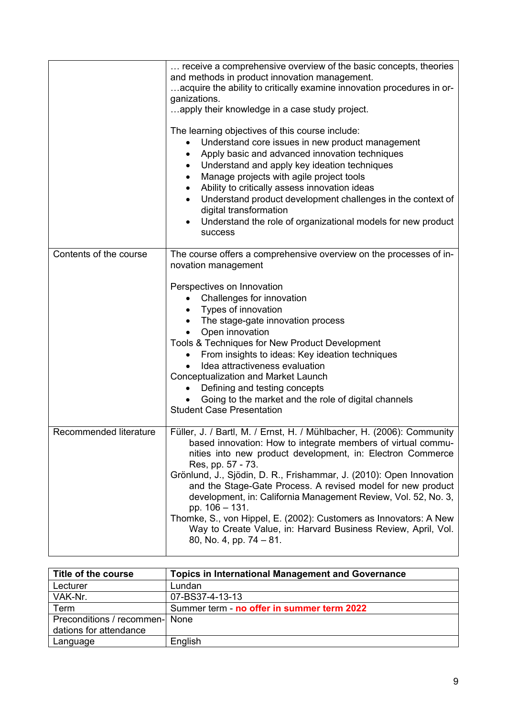|                        | receive a comprehensive overview of the basic concepts, theories<br>and methods in product innovation management.<br>acquire the ability to critically examine innovation procedures in or-<br>ganizations.<br>apply their knowledge in a case study project.<br>The learning objectives of this course include:<br>Understand core issues in new product management<br>Apply basic and advanced innovation techniques<br>Understand and apply key ideation techniques<br>٠<br>Manage projects with agile project tools<br>٠<br>Ability to critically assess innovation ideas<br>$\bullet$<br>Understand product development challenges in the context of<br>$\bullet$<br>digital transformation<br>Understand the role of organizational models for new product<br><b>SUCCESS</b> |
|------------------------|------------------------------------------------------------------------------------------------------------------------------------------------------------------------------------------------------------------------------------------------------------------------------------------------------------------------------------------------------------------------------------------------------------------------------------------------------------------------------------------------------------------------------------------------------------------------------------------------------------------------------------------------------------------------------------------------------------------------------------------------------------------------------------|
| Contents of the course | The course offers a comprehensive overview on the processes of in-<br>novation management<br>Perspectives on Innovation<br>Challenges for innovation<br>Types of innovation<br>The stage-gate innovation process<br>Open innovation<br>Tools & Techniques for New Product Development<br>From insights to ideas: Key ideation techniques<br>Idea attractiveness evaluation<br><b>Conceptualization and Market Launch</b><br>Defining and testing concepts<br>Going to the market and the role of digital channels<br><b>Student Case Presentation</b>                                                                                                                                                                                                                              |
| Recommended literature | Füller, J. / Bartl, M. / Ernst, H. / Mühlbacher, H. (2006): Community<br>based innovation: How to integrate members of virtual commu-<br>nities into new product development, in: Electron Commerce<br>Res, pp. 57 - 73.<br>Grönlund, J., Sjödin, D. R., Frishammar, J. (2010): Open Innovation<br>and the Stage-Gate Process. A revised model for new product<br>development, in: California Management Review, Vol. 52, No. 3,<br>pp. 106 - 131.<br>Thomke, S., von Hippel, E. (2002): Customers as Innovators: A New<br>Way to Create Value, in: Harvard Business Review, April, Vol.<br>80, No. 4, pp. $74 - 81$ .                                                                                                                                                             |

| Title of the course            | <b>Topics in International Management and Governance</b> |
|--------------------------------|----------------------------------------------------------|
| Lecturer                       | Lundan                                                   |
| VAK-Nr.                        | 07-BS37-4-13-13                                          |
| Term                           | Summer term - no offer in summer term 2022               |
| Preconditions / recommen- None |                                                          |
| dations for attendance         |                                                          |
| Language                       | English                                                  |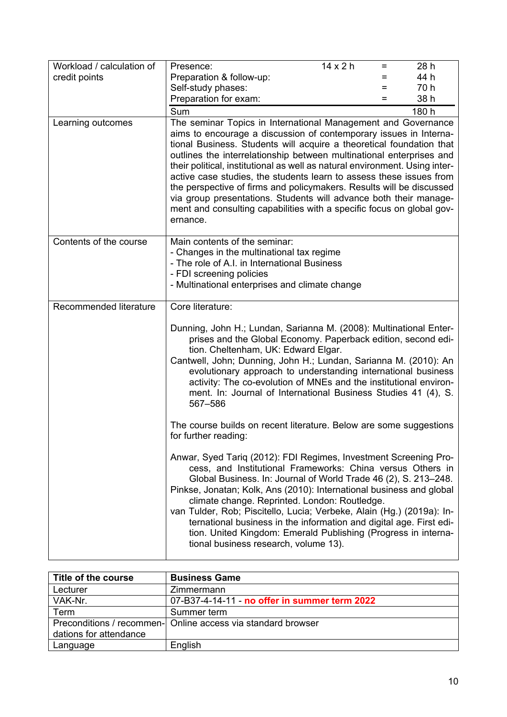| Workload / calculation of | Presence:                                                                                                                                                                                                                                                                                                                                                                                                                                                                                                                                                                                                                                                                  | $14 \times 2 h$ | $=$ | 28 h  |
|---------------------------|----------------------------------------------------------------------------------------------------------------------------------------------------------------------------------------------------------------------------------------------------------------------------------------------------------------------------------------------------------------------------------------------------------------------------------------------------------------------------------------------------------------------------------------------------------------------------------------------------------------------------------------------------------------------------|-----------------|-----|-------|
| credit points             | Preparation & follow-up:                                                                                                                                                                                                                                                                                                                                                                                                                                                                                                                                                                                                                                                   |                 | =   | 44 h  |
|                           | Self-study phases:                                                                                                                                                                                                                                                                                                                                                                                                                                                                                                                                                                                                                                                         |                 | $=$ | 70 h  |
|                           | Preparation for exam:                                                                                                                                                                                                                                                                                                                                                                                                                                                                                                                                                                                                                                                      |                 | $=$ | 38 h  |
|                           | Sum                                                                                                                                                                                                                                                                                                                                                                                                                                                                                                                                                                                                                                                                        |                 |     | 180 h |
| Learning outcomes         | The seminar Topics in International Management and Governance<br>aims to encourage a discussion of contemporary issues in Interna-<br>tional Business. Students will acquire a theoretical foundation that<br>outlines the interrelationship between multinational enterprises and<br>their political, institutional as well as natural environment. Using inter-<br>active case studies, the students learn to assess these issues from<br>the perspective of firms and policymakers. Results will be discussed<br>via group presentations. Students will advance both their manage-<br>ment and consulting capabilities with a specific focus on global gov-<br>ernance. |                 |     |       |
| Contents of the course    | Main contents of the seminar:<br>- Changes in the multinational tax regime<br>- The role of A.I. in International Business<br>- FDI screening policies<br>- Multinational enterprises and climate change                                                                                                                                                                                                                                                                                                                                                                                                                                                                   |                 |     |       |
| Recommended literature    | Core literature:                                                                                                                                                                                                                                                                                                                                                                                                                                                                                                                                                                                                                                                           |                 |     |       |
|                           | Dunning, John H.; Lundan, Sarianna M. (2008): Multinational Enter-<br>prises and the Global Economy. Paperback edition, second edi-<br>tion. Cheltenham, UK: Edward Elgar.<br>Cantwell, John; Dunning, John H.; Lundan, Sarianna M. (2010): An<br>evolutionary approach to understanding international business<br>activity: The co-evolution of MNEs and the institutional environ-<br>ment. In: Journal of International Business Studies 41 (4), S.<br>567-586                                                                                                                                                                                                          |                 |     |       |
|                           | The course builds on recent literature. Below are some suggestions<br>for further reading:                                                                                                                                                                                                                                                                                                                                                                                                                                                                                                                                                                                 |                 |     |       |
|                           | Anwar, Syed Tariq (2012): FDI Regimes, Investment Screening Pro-<br>cess, and Institutional Frameworks: China versus Others in<br>Global Business. In: Journal of World Trade 46 (2), S. 213-248.<br>Pinkse, Jonatan; Kolk, Ans (2010): International business and global<br>climate change. Reprinted. London: Routledge.<br>van Tulder, Rob; Piscitello, Lucia; Verbeke, Alain (Hg.) (2019a): In-<br>ternational business in the information and digital age. First edi-<br>tion. United Kingdom: Emerald Publishing (Progress in interna-<br>tional business research, volume 13).                                                                                      |                 |     |       |

| Title of the course    | <b>Business Game</b>                                         |
|------------------------|--------------------------------------------------------------|
| Lecturer               | Zimmermann                                                   |
| VAK-Nr.                | 07-B37-4-14-11 - no offer in summer term 2022                |
| Term                   | Summer term                                                  |
|                        | Preconditions / recommen- Online access via standard browser |
| dations for attendance |                                                              |
| Language               | English                                                      |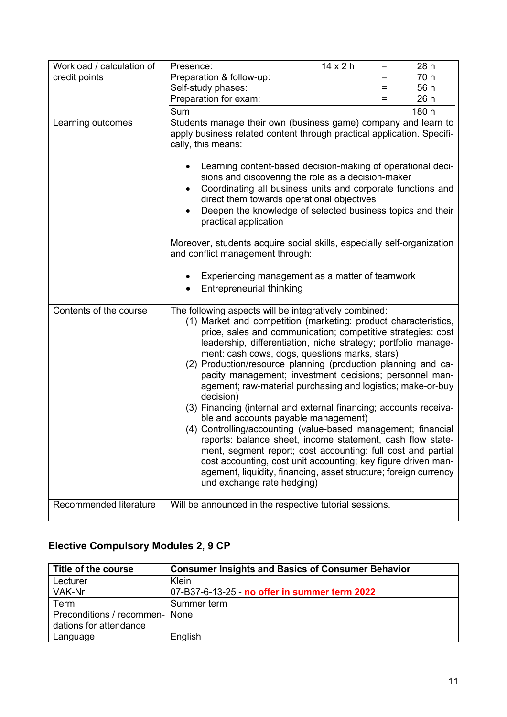| Workload / calculation of | $14 \times 2 h$<br>28 h<br>Presence:<br>$=$                                                                                                                                                                                                                                                                                                                                                                                                                                                                                                                                                                                                                                                                                                                                                                                                                                                                                                                                                         |
|---------------------------|-----------------------------------------------------------------------------------------------------------------------------------------------------------------------------------------------------------------------------------------------------------------------------------------------------------------------------------------------------------------------------------------------------------------------------------------------------------------------------------------------------------------------------------------------------------------------------------------------------------------------------------------------------------------------------------------------------------------------------------------------------------------------------------------------------------------------------------------------------------------------------------------------------------------------------------------------------------------------------------------------------|
| credit points             | 70 h<br>Preparation & follow-up:<br>=                                                                                                                                                                                                                                                                                                                                                                                                                                                                                                                                                                                                                                                                                                                                                                                                                                                                                                                                                               |
|                           | 56 h<br>Self-study phases:<br>=                                                                                                                                                                                                                                                                                                                                                                                                                                                                                                                                                                                                                                                                                                                                                                                                                                                                                                                                                                     |
|                           | 26 h<br>Preparation for exam:<br>$=$                                                                                                                                                                                                                                                                                                                                                                                                                                                                                                                                                                                                                                                                                                                                                                                                                                                                                                                                                                |
|                           | Sum<br>180 h                                                                                                                                                                                                                                                                                                                                                                                                                                                                                                                                                                                                                                                                                                                                                                                                                                                                                                                                                                                        |
| Learning outcomes         | Students manage their own (business game) company and learn to<br>apply business related content through practical application. Specifi-<br>cally, this means:<br>Learning content-based decision-making of operational deci-<br>٠<br>sions and discovering the role as a decision-maker<br>Coordinating all business units and corporate functions and<br>$\bullet$<br>direct them towards operational objectives<br>Deepen the knowledge of selected business topics and their<br>$\bullet$<br>practical application<br>Moreover, students acquire social skills, especially self-organization<br>and conflict management through:                                                                                                                                                                                                                                                                                                                                                                |
|                           | Experiencing management as a matter of teamwork<br><b>Entrepreneurial thinking</b>                                                                                                                                                                                                                                                                                                                                                                                                                                                                                                                                                                                                                                                                                                                                                                                                                                                                                                                  |
| Contents of the course    | The following aspects will be integratively combined:<br>(1) Market and competition (marketing: product characteristics,<br>price, sales and communication; competitive strategies: cost<br>leadership, differentiation, niche strategy; portfolio manage-<br>ment: cash cows, dogs, questions marks, stars)<br>(2) Production/resource planning (production planning and ca-<br>pacity management; investment decisions; personnel man-<br>agement; raw-material purchasing and logistics; make-or-buy<br>decision)<br>(3) Financing (internal and external financing; accounts receiva-<br>ble and accounts payable management)<br>(4) Controlling/accounting (value-based management; financial<br>reports: balance sheet, income statement, cash flow state-<br>ment, segment report; cost accounting: full cost and partial<br>cost accounting, cost unit accounting; key figure driven man-<br>agement, liquidity, financing, asset structure; foreign currency<br>und exchange rate hedging) |
| Recommended literature    | Will be announced in the respective tutorial sessions.                                                                                                                                                                                                                                                                                                                                                                                                                                                                                                                                                                                                                                                                                                                                                                                                                                                                                                                                              |

#### **Elective Compulsory Modules 2, 9 CP**

| Title of the course            | <b>Consumer Insights and Basics of Consumer Behavior</b> |
|--------------------------------|----------------------------------------------------------|
| Lecturer                       | Klein                                                    |
| VAK-Nr.                        | 07-B37-6-13-25 - no offer in summer term 2022            |
| Term                           | Summer term                                              |
| Preconditions / recommen- None |                                                          |
| dations for attendance         |                                                          |
| Language                       | English                                                  |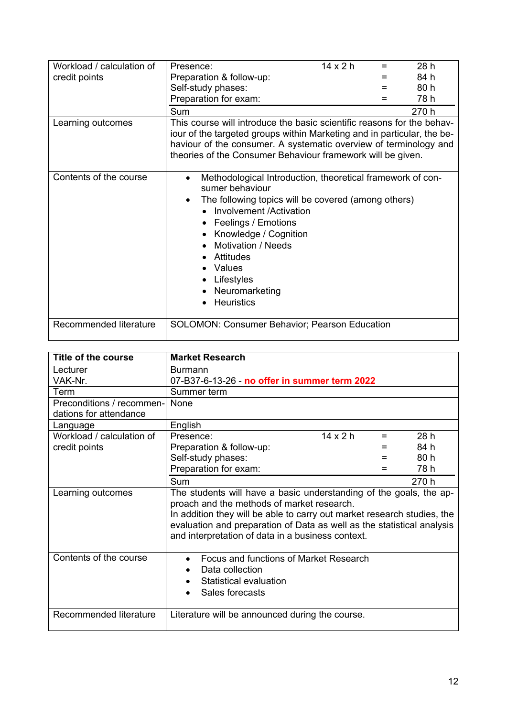| Workload / calculation of | Presence:                                                                                                                                                                                                                                                                                                                                                 | $14 \times 2 h$ | 28 h  |
|---------------------------|-----------------------------------------------------------------------------------------------------------------------------------------------------------------------------------------------------------------------------------------------------------------------------------------------------------------------------------------------------------|-----------------|-------|
| credit points             | Preparation & follow-up:                                                                                                                                                                                                                                                                                                                                  |                 | 84 h  |
|                           | Self-study phases:                                                                                                                                                                                                                                                                                                                                        |                 | 80 h  |
|                           | Preparation for exam:                                                                                                                                                                                                                                                                                                                                     |                 | 78 h  |
|                           |                                                                                                                                                                                                                                                                                                                                                           |                 |       |
|                           | Sum                                                                                                                                                                                                                                                                                                                                                       |                 | 270 h |
| Learning outcomes         | This course will introduce the basic scientific reasons for the behav-<br>iour of the targeted groups within Marketing and in particular, the be-<br>haviour of the consumer. A systematic overview of terminology and<br>theories of the Consumer Behaviour framework will be given.                                                                     |                 |       |
| Contents of the course    | Methodological Introduction, theoretical framework of con-<br>$\bullet$<br>sumer behaviour<br>The following topics will be covered (among others)<br>$\bullet$<br>Involvement /Activation<br>Feelings / Emotions<br>Knowledge / Cognition<br><b>Motivation / Needs</b><br><b>Attitudes</b><br>Values<br>Lifestyles<br>Neuromarketing<br><b>Heuristics</b> |                 |       |
| Recommended literature    | <b>SOLOMON: Consumer Behavior; Pearson Education</b>                                                                                                                                                                                                                                                                                                      |                 |       |

| Title of the course       | <b>Market Research</b>                                                                                                                                                                                                                                                                                                     |                 |     |       |
|---------------------------|----------------------------------------------------------------------------------------------------------------------------------------------------------------------------------------------------------------------------------------------------------------------------------------------------------------------------|-----------------|-----|-------|
| Lecturer                  | <b>Burmann</b>                                                                                                                                                                                                                                                                                                             |                 |     |       |
| VAK-Nr.                   | 07-B37-6-13-26 - no offer in summer term 2022                                                                                                                                                                                                                                                                              |                 |     |       |
| Term                      | Summer term                                                                                                                                                                                                                                                                                                                |                 |     |       |
| Preconditions / recommen- | <b>None</b>                                                                                                                                                                                                                                                                                                                |                 |     |       |
| dations for attendance    |                                                                                                                                                                                                                                                                                                                            |                 |     |       |
| Language                  | English                                                                                                                                                                                                                                                                                                                    |                 |     |       |
| Workload / calculation of | Presence:                                                                                                                                                                                                                                                                                                                  | $14 \times 2 h$ | $=$ | 28h   |
| credit points             | Preparation & follow-up:                                                                                                                                                                                                                                                                                                   |                 |     | 84 h  |
|                           | Self-study phases:                                                                                                                                                                                                                                                                                                         |                 |     | 80 h  |
|                           | Preparation for exam:                                                                                                                                                                                                                                                                                                      |                 |     | 78 h  |
|                           | Sum                                                                                                                                                                                                                                                                                                                        |                 |     | 270 h |
| Learning outcomes         | The students will have a basic understanding of the goals, the ap-<br>proach and the methods of market research.<br>In addition they will be able to carry out market research studies, the<br>evaluation and preparation of Data as well as the statistical analysis<br>and interpretation of data in a business context. |                 |     |       |
| Contents of the course    | Focus and functions of Market Research<br>Data collection<br>Statistical evaluation<br>Sales forecasts                                                                                                                                                                                                                     |                 |     |       |
| Recommended literature    | Literature will be announced during the course.                                                                                                                                                                                                                                                                            |                 |     |       |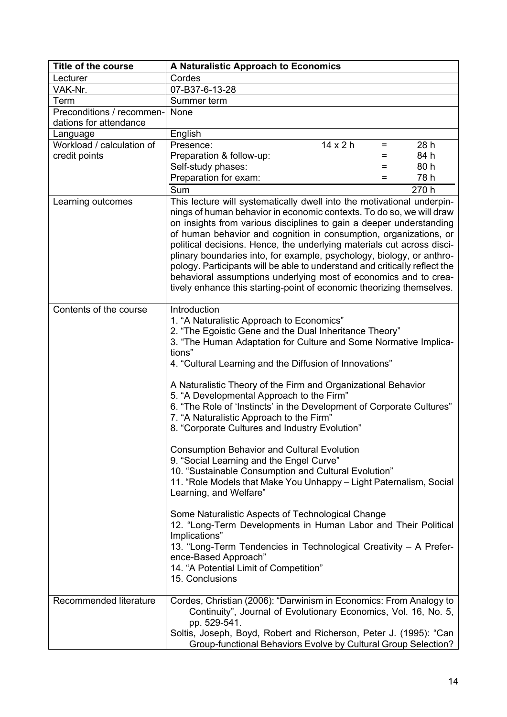| <b>Title of the course</b> | A Naturalistic Approach to Economics                                                                                                                                                                                                                                                                                                                                                                                                                                                                                                                                                                                                                                     |  |
|----------------------------|--------------------------------------------------------------------------------------------------------------------------------------------------------------------------------------------------------------------------------------------------------------------------------------------------------------------------------------------------------------------------------------------------------------------------------------------------------------------------------------------------------------------------------------------------------------------------------------------------------------------------------------------------------------------------|--|
| Lecturer                   | Cordes                                                                                                                                                                                                                                                                                                                                                                                                                                                                                                                                                                                                                                                                   |  |
| VAK-Nr.                    | 07-B37-6-13-28                                                                                                                                                                                                                                                                                                                                                                                                                                                                                                                                                                                                                                                           |  |
| Term                       | Summer term                                                                                                                                                                                                                                                                                                                                                                                                                                                                                                                                                                                                                                                              |  |
| Preconditions / recommen-  | None                                                                                                                                                                                                                                                                                                                                                                                                                                                                                                                                                                                                                                                                     |  |
| dations for attendance     |                                                                                                                                                                                                                                                                                                                                                                                                                                                                                                                                                                                                                                                                          |  |
| Language                   | English                                                                                                                                                                                                                                                                                                                                                                                                                                                                                                                                                                                                                                                                  |  |
| Workload / calculation of  | $14 \times 2 h$<br>Presence:<br>28 h<br>Ξ                                                                                                                                                                                                                                                                                                                                                                                                                                                                                                                                                                                                                                |  |
| credit points              | 84 h<br>Preparation & follow-up:<br>=                                                                                                                                                                                                                                                                                                                                                                                                                                                                                                                                                                                                                                    |  |
|                            | 80 h<br>Self-study phases:<br>$=$                                                                                                                                                                                                                                                                                                                                                                                                                                                                                                                                                                                                                                        |  |
|                            | Preparation for exam:<br>78 h<br>$=$                                                                                                                                                                                                                                                                                                                                                                                                                                                                                                                                                                                                                                     |  |
|                            | Sum<br>270 h                                                                                                                                                                                                                                                                                                                                                                                                                                                                                                                                                                                                                                                             |  |
| Learning outcomes          | This lecture will systematically dwell into the motivational underpin-<br>nings of human behavior in economic contexts. To do so, we will draw<br>on insights from various disciplines to gain a deeper understanding<br>of human behavior and cognition in consumption, organizations, or<br>political decisions. Hence, the underlying materials cut across disci-<br>plinary boundaries into, for example, psychology, biology, or anthro-<br>pology. Participants will be able to understand and critically reflect the<br>behavioral assumptions underlying most of economics and to crea-<br>tively enhance this starting-point of economic theorizing themselves. |  |
| Contents of the course     | Introduction<br>1. "A Naturalistic Approach to Economics"<br>2. "The Egoistic Gene and the Dual Inheritance Theory"<br>3. "The Human Adaptation for Culture and Some Normative Implica-<br>tions"<br>4. "Cultural Learning and the Diffusion of Innovations"<br>A Naturalistic Theory of the Firm and Organizational Behavior<br>5. "A Developmental Approach to the Firm"<br>6. "The Role of 'Instincts' in the Development of Corporate Cultures"<br>7. "A Naturalistic Approach to the Firm"<br>8. "Corporate Cultures and Industry Evolution"                                                                                                                        |  |
|                            | <b>Consumption Behavior and Cultural Evolution</b><br>9. "Social Learning and the Engel Curve"<br>10. "Sustainable Consumption and Cultural Evolution"<br>11. "Role Models that Make You Unhappy - Light Paternalism, Social<br>Learning, and Welfare"                                                                                                                                                                                                                                                                                                                                                                                                                   |  |
|                            | Some Naturalistic Aspects of Technological Change<br>12. "Long-Term Developments in Human Labor and Their Political<br>Implications"<br>13. "Long-Term Tendencies in Technological Creativity - A Prefer-<br>ence-Based Approach"<br>14. "A Potential Limit of Competition"<br>15. Conclusions                                                                                                                                                                                                                                                                                                                                                                           |  |
| Recommended literature     | Cordes, Christian (2006): "Darwinism in Economics: From Analogy to<br>Continuity", Journal of Evolutionary Economics, Vol. 16, No. 5,<br>pp. 529-541.<br>Soltis, Joseph, Boyd, Robert and Richerson, Peter J. (1995): "Can<br>Group-functional Behaviors Evolve by Cultural Group Selection?                                                                                                                                                                                                                                                                                                                                                                             |  |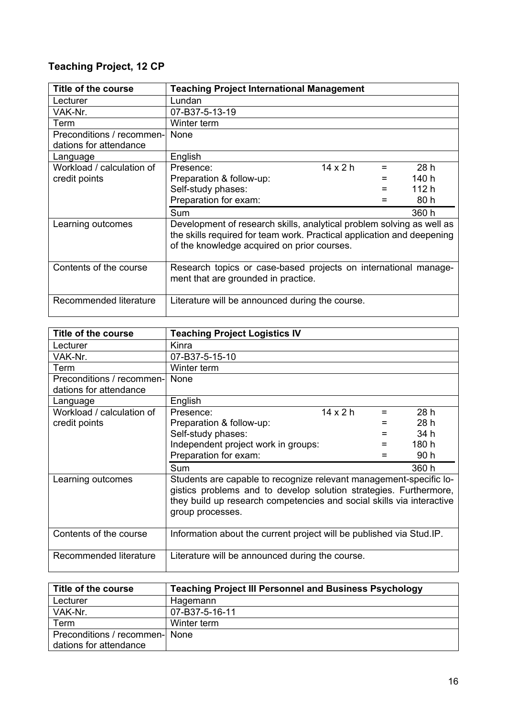#### **Teaching Project, 12 CP**

| Title of the course                                 | <b>Teaching Project International Management</b>                                                                                                                                               |                 |     |       |
|-----------------------------------------------------|------------------------------------------------------------------------------------------------------------------------------------------------------------------------------------------------|-----------------|-----|-------|
| Lecturer                                            | Lundan                                                                                                                                                                                         |                 |     |       |
| VAK-Nr.                                             | 07-B37-5-13-19                                                                                                                                                                                 |                 |     |       |
| Term                                                | Winter term                                                                                                                                                                                    |                 |     |       |
| Preconditions / recommen-<br>dations for attendance | None                                                                                                                                                                                           |                 |     |       |
| Language                                            | English                                                                                                                                                                                        |                 |     |       |
| Workload / calculation of                           | Presence:                                                                                                                                                                                      | $14 \times 2 h$ | $=$ | 28h   |
| credit points                                       | Preparation & follow-up:                                                                                                                                                                       |                 |     | 140 h |
|                                                     | Self-study phases:                                                                                                                                                                             |                 | $=$ | 112 h |
|                                                     | Preparation for exam:                                                                                                                                                                          |                 |     | 80 h  |
|                                                     | Sum                                                                                                                                                                                            |                 |     | 360 h |
| Learning outcomes                                   | Development of research skills, analytical problem solving as well as<br>the skills required for team work. Practical application and deepening<br>of the knowledge acquired on prior courses. |                 |     |       |
| Contents of the course                              | Research topics or case-based projects on international manage-<br>ment that are grounded in practice.                                                                                         |                 |     |       |
| Recommended literature                              | Literature will be announced during the course.                                                                                                                                                |                 |     |       |

| Title of the course            | <b>Teaching Project Logistics IV</b>                                                                                                                                                                                                 |                 |     |       |
|--------------------------------|--------------------------------------------------------------------------------------------------------------------------------------------------------------------------------------------------------------------------------------|-----------------|-----|-------|
| Lecturer                       | Kinra                                                                                                                                                                                                                                |                 |     |       |
| VAK-Nr.                        | 07-B37-5-15-10                                                                                                                                                                                                                       |                 |     |       |
| Term                           | Winter term                                                                                                                                                                                                                          |                 |     |       |
| Preconditions / recommen- None |                                                                                                                                                                                                                                      |                 |     |       |
| dations for attendance         |                                                                                                                                                                                                                                      |                 |     |       |
| Language                       | English                                                                                                                                                                                                                              |                 |     |       |
| Workload / calculation of      | Presence:                                                                                                                                                                                                                            | $14 \times 2 h$ | $=$ | 28h   |
| credit points                  | Preparation & follow-up:                                                                                                                                                                                                             |                 |     | 28h   |
|                                | Self-study phases:                                                                                                                                                                                                                   |                 | $=$ | 34 h  |
|                                | Independent project work in groups:                                                                                                                                                                                                  |                 |     | 180 h |
|                                | Preparation for exam:                                                                                                                                                                                                                |                 |     | 90 h  |
|                                | Sum                                                                                                                                                                                                                                  |                 |     | 360 h |
| Learning outcomes              | Students are capable to recognize relevant management-specific lo-<br>gistics problems and to develop solution strategies. Furthermore,<br>they build up research competencies and social skills via interactive<br>group processes. |                 |     |       |
| Contents of the course         | Information about the current project will be published via Stud. IP.                                                                                                                                                                |                 |     |       |
| Recommended literature         | Literature will be announced during the course.                                                                                                                                                                                      |                 |     |       |

| Title of the course            | <b>Teaching Project III Personnel and Business Psychology</b> |
|--------------------------------|---------------------------------------------------------------|
| Lecturer                       | Hagemann                                                      |
| VAK-Nr.                        | 07-B37-5-16-11                                                |
| Term                           | Winter term                                                   |
| Preconditions / recommen- None |                                                               |
| dations for attendance         |                                                               |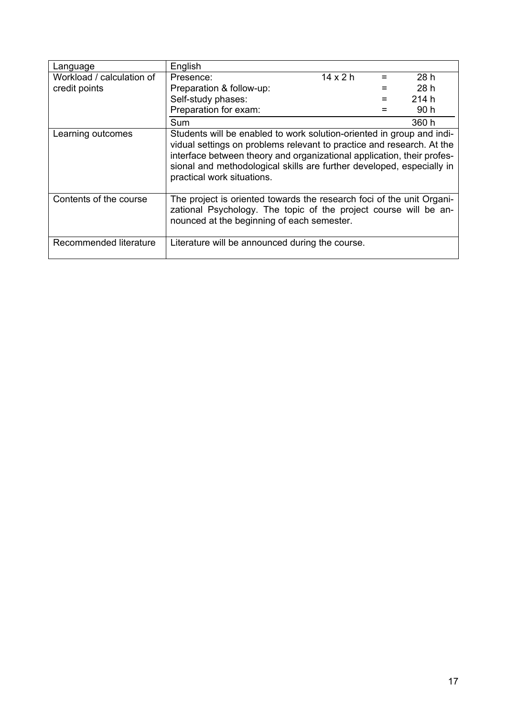| Language                  | English                                                                                                                                                                                                                                                                                                                         |                 |     |       |
|---------------------------|---------------------------------------------------------------------------------------------------------------------------------------------------------------------------------------------------------------------------------------------------------------------------------------------------------------------------------|-----------------|-----|-------|
| Workload / calculation of | Presence:                                                                                                                                                                                                                                                                                                                       | $14 \times 2 h$ | $=$ | 28 h  |
| credit points             | Preparation & follow-up:                                                                                                                                                                                                                                                                                                        |                 |     | 28h   |
|                           | Self-study phases:                                                                                                                                                                                                                                                                                                              |                 |     | 214 h |
|                           | Preparation for exam:                                                                                                                                                                                                                                                                                                           |                 |     | 90 h  |
|                           | Sum                                                                                                                                                                                                                                                                                                                             |                 |     | 360 h |
| Learning outcomes         | Students will be enabled to work solution-oriented in group and indi-<br>vidual settings on problems relevant to practice and research. At the<br>interface between theory and organizational application, their profes-<br>sional and methodological skills are further developed, especially in<br>practical work situations. |                 |     |       |
| Contents of the course    | The project is oriented towards the research foci of the unit Organi-<br>zational Psychology. The topic of the project course will be an-<br>nounced at the beginning of each semester.                                                                                                                                         |                 |     |       |
| Recommended literature    | Literature will be announced during the course.                                                                                                                                                                                                                                                                                 |                 |     |       |